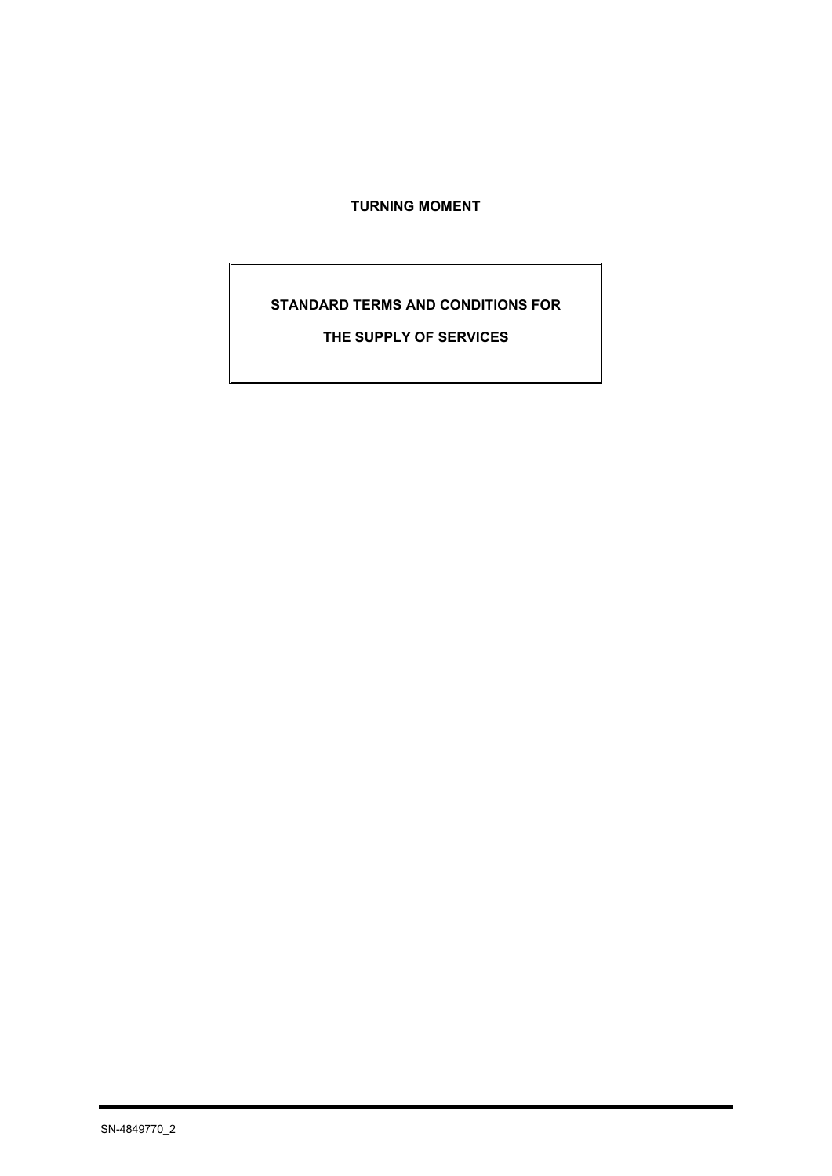# **TURNING MOMENT**

# **STANDARD TERMS AND CONDITIONS FOR**

**THE SUPPLY OF SERVICES**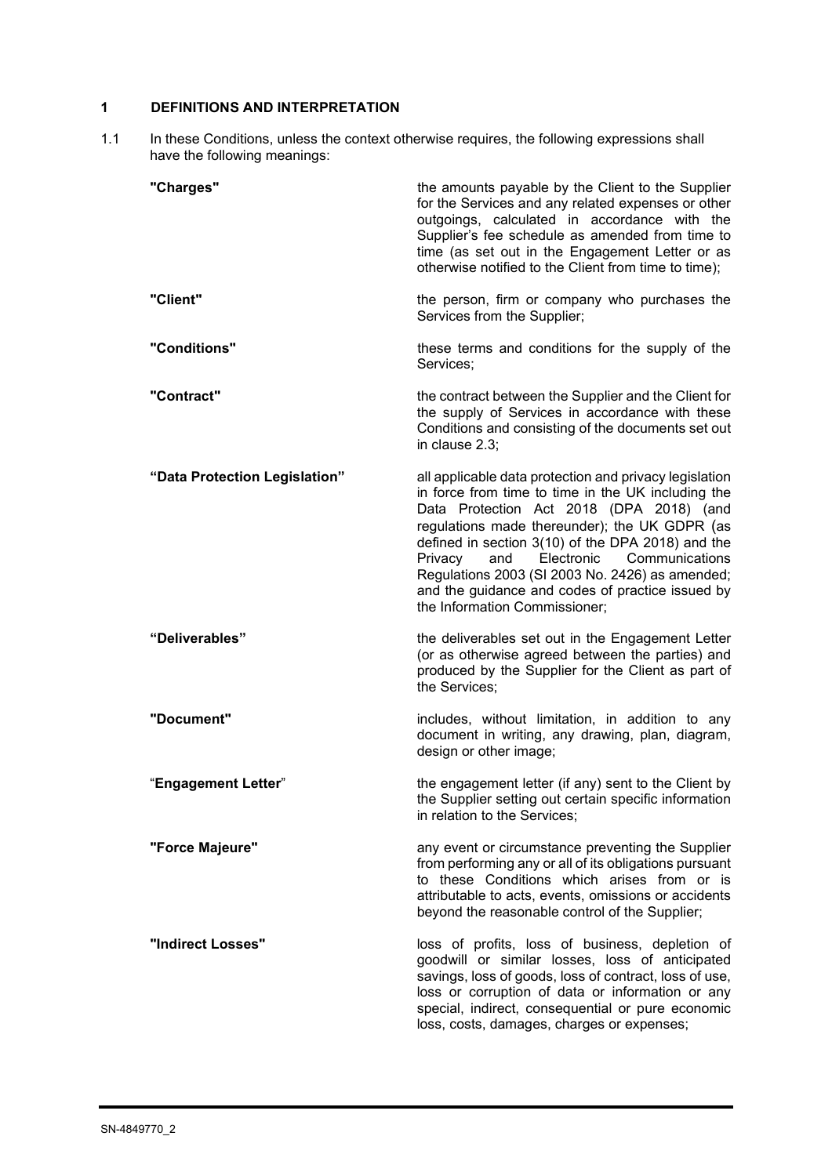# **1 DEFINITIONS AND INTERPRETATION**

1.1 In these Conditions, unless the context otherwise requires, the following expressions shall have the following meanings:

| "Charges"                     | the amounts payable by the Client to the Supplier<br>for the Services and any related expenses or other<br>outgoings, calculated in accordance with the<br>Supplier's fee schedule as amended from time to<br>time (as set out in the Engagement Letter or as<br>otherwise notified to the Client from time to time);                                                                                                                                    |
|-------------------------------|----------------------------------------------------------------------------------------------------------------------------------------------------------------------------------------------------------------------------------------------------------------------------------------------------------------------------------------------------------------------------------------------------------------------------------------------------------|
| "Client"                      | the person, firm or company who purchases the<br>Services from the Supplier;                                                                                                                                                                                                                                                                                                                                                                             |
| "Conditions"                  | these terms and conditions for the supply of the<br>Services;                                                                                                                                                                                                                                                                                                                                                                                            |
| "Contract"                    | the contract between the Supplier and the Client for<br>the supply of Services in accordance with these<br>Conditions and consisting of the documents set out<br>in clause 2.3;                                                                                                                                                                                                                                                                          |
| "Data Protection Legislation" | all applicable data protection and privacy legislation<br>in force from time to time in the UK including the<br>Data Protection Act 2018 (DPA 2018) (and<br>regulations made thereunder); the UK GDPR (as<br>defined in section 3(10) of the DPA 2018) and the<br>Electronic<br>Communications<br>Privacy<br>and<br>Regulations 2003 (SI 2003 No. 2426) as amended;<br>and the guidance and codes of practice issued by<br>the Information Commissioner; |
| "Deliverables"                | the deliverables set out in the Engagement Letter<br>(or as otherwise agreed between the parties) and<br>produced by the Supplier for the Client as part of<br>the Services;                                                                                                                                                                                                                                                                             |
| "Document"                    | includes, without limitation, in addition to any<br>document in writing, any drawing, plan, diagram,<br>design or other image;                                                                                                                                                                                                                                                                                                                           |
| "Engagement Letter"           | the engagement letter (if any) sent to the Client by<br>the Supplier setting out certain specific information<br>in relation to the Services;                                                                                                                                                                                                                                                                                                            |
| "Force Majeure"               | any event or circumstance preventing the Supplier<br>from performing any or all of its obligations pursuant<br>to these Conditions which arises from or is<br>attributable to acts, events, omissions or accidents<br>beyond the reasonable control of the Supplier;                                                                                                                                                                                     |
| "Indirect Losses"             | loss of profits, loss of business, depletion of<br>goodwill or similar losses, loss of anticipated<br>savings, loss of goods, loss of contract, loss of use,<br>loss or corruption of data or information or any<br>special, indirect, consequential or pure economic<br>loss, costs, damages, charges or expenses;                                                                                                                                      |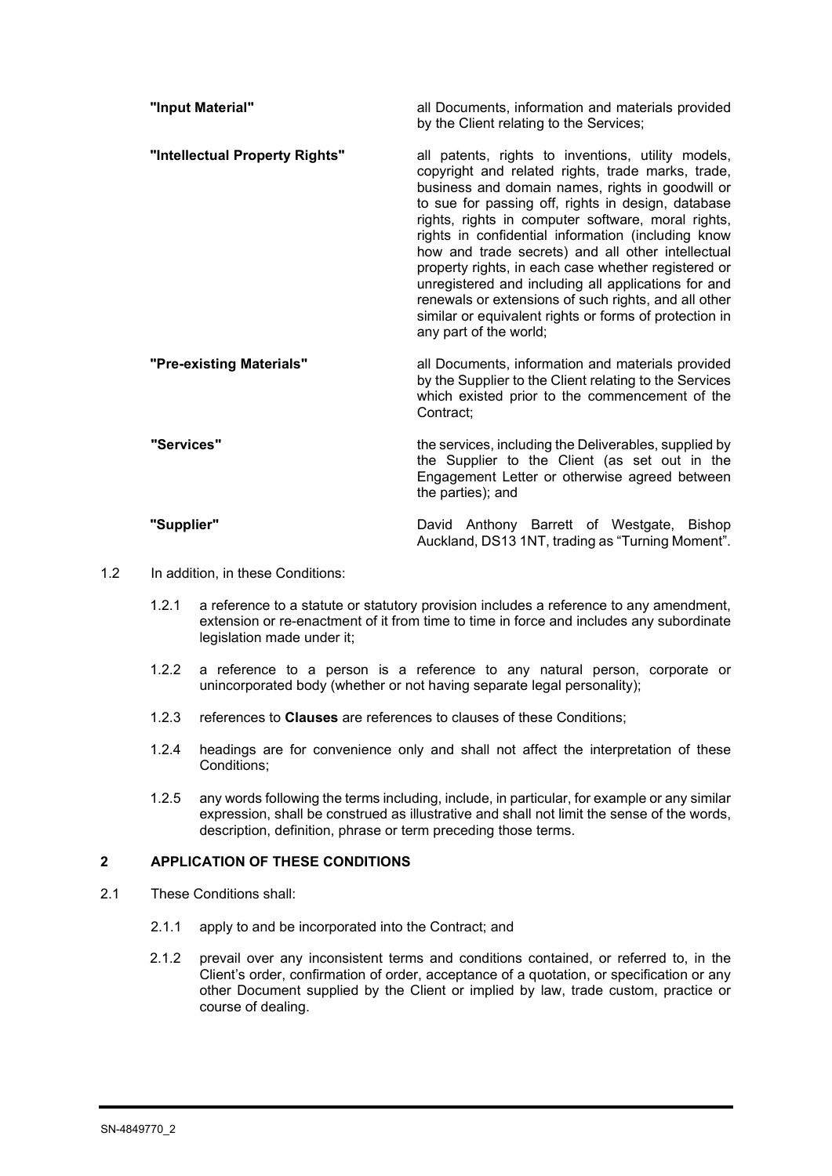| "Input Material"               | all Documents, information and materials provided<br>by the Client relating to the Services;                                                                                                                                                                                                                                                                                                                                                                                                                                                                                                                                                 |
|--------------------------------|----------------------------------------------------------------------------------------------------------------------------------------------------------------------------------------------------------------------------------------------------------------------------------------------------------------------------------------------------------------------------------------------------------------------------------------------------------------------------------------------------------------------------------------------------------------------------------------------------------------------------------------------|
| "Intellectual Property Rights" | all patents, rights to inventions, utility models,<br>copyright and related rights, trade marks, trade,<br>business and domain names, rights in goodwill or<br>to sue for passing off, rights in design, database<br>rights, rights in computer software, moral rights,<br>rights in confidential information (including know<br>how and trade secrets) and all other intellectual<br>property rights, in each case whether registered or<br>unregistered and including all applications for and<br>renewals or extensions of such rights, and all other<br>similar or equivalent rights or forms of protection in<br>any part of the world; |
| "Pre-existing Materials"       | all Documents, information and materials provided<br>by the Supplier to the Client relating to the Services<br>which existed prior to the commencement of the<br>Contract;                                                                                                                                                                                                                                                                                                                                                                                                                                                                   |
| "Services"                     | the services, including the Deliverables, supplied by<br>the Supplier to the Client (as set out in the<br>Engagement Letter or otherwise agreed between<br>the parties); and                                                                                                                                                                                                                                                                                                                                                                                                                                                                 |
| "Supplier"                     | David Anthony Barrett of Westgate, Bishop<br>Auckland, DS13 1NT, trading as "Turning Moment".                                                                                                                                                                                                                                                                                                                                                                                                                                                                                                                                                |

- 1.2 In addition, in these Conditions:
	- 1.2.1 a reference to a statute or statutory provision includes a reference to any amendment, extension or re-enactment of it from time to time in force and includes any subordinate legislation made under it;
	- 1.2.2 a reference to a person is a reference to any natural person, corporate or unincorporated body (whether or not having separate legal personality);
	- 1.2.3 references to **Clauses** are references to clauses of these Conditions;
	- 1.2.4 headings are for convenience only and shall not affect the interpretation of these Conditions;
	- 1.2.5 any words following the terms including, include, in particular, for example or any similar expression, shall be construed as illustrative and shall not limit the sense of the words, description, definition, phrase or term preceding those terms.

### **2 APPLICATION OF THESE CONDITIONS**

- 2.1 These Conditions shall:
	- 2.1.1 apply to and be incorporated into the Contract; and
	- 2.1.2 prevail over any inconsistent terms and conditions contained, or referred to, in the Client's order, confirmation of order, acceptance of a quotation, or specification or any other Document supplied by the Client or implied by law, trade custom, practice or course of dealing.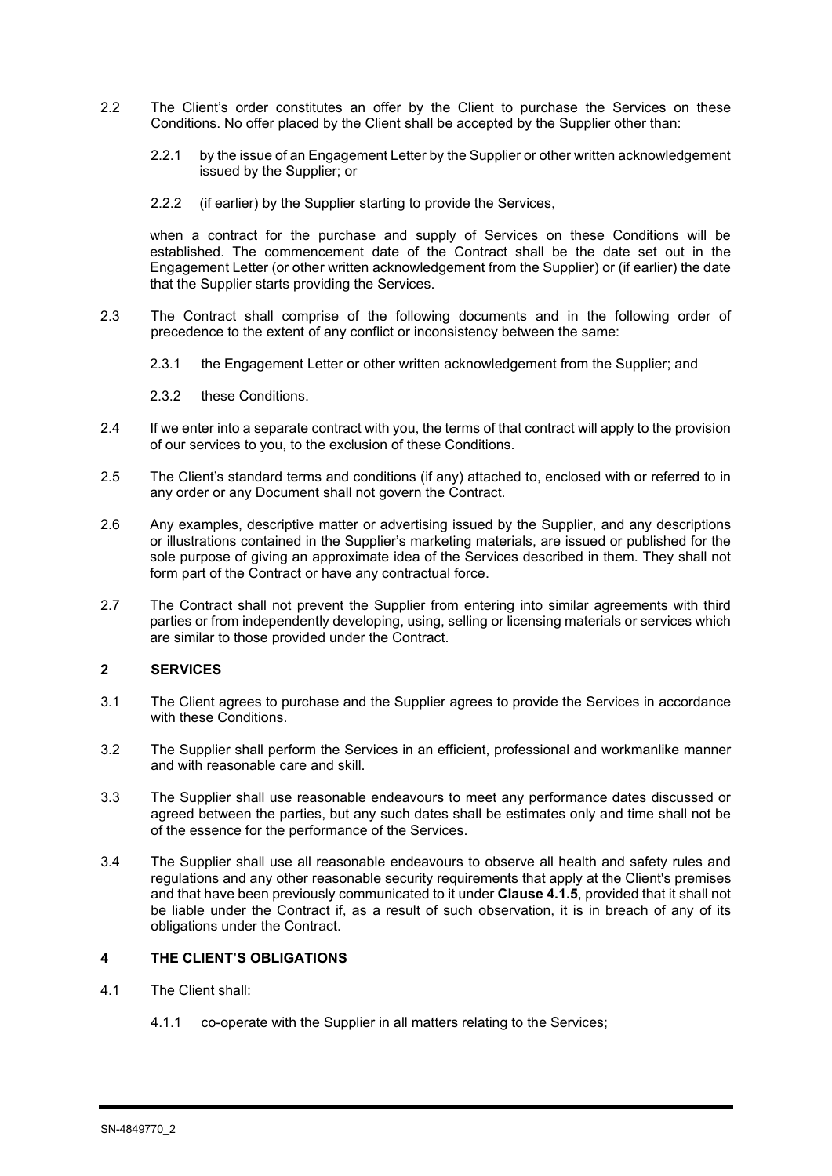- 2.2 The Client's order constitutes an offer by the Client to purchase the Services on these Conditions. No offer placed by the Client shall be accepted by the Supplier other than:
	- 2.2.1 by the issue of an Engagement Letter by the Supplier or other written acknowledgement issued by the Supplier; or
	- 2.2.2 (if earlier) by the Supplier starting to provide the Services,

when a contract for the purchase and supply of Services on these Conditions will be established. The commencement date of the Contract shall be the date set out in the Engagement Letter (or other written acknowledgement from the Supplier) or (if earlier) the date that the Supplier starts providing the Services.

- 2.3 The Contract shall comprise of the following documents and in the following order of precedence to the extent of any conflict or inconsistency between the same:
	- 2.3.1 the Engagement Letter or other written acknowledgement from the Supplier; and

2.3.2 these Conditions.

- 2.4 If we enter into a separate contract with you, the terms of that contract will apply to the provision of our services to you, to the exclusion of these Conditions.
- 2.5 The Client's standard terms and conditions (if any) attached to, enclosed with or referred to in any order or any Document shall not govern the Contract.
- 2.6 Any examples, descriptive matter or advertising issued by the Supplier, and any descriptions or illustrations contained in the Supplier's marketing materials, are issued or published for the sole purpose of giving an approximate idea of the Services described in them. They shall not form part of the Contract or have any contractual force.
- 2.7 The Contract shall not prevent the Supplier from entering into similar agreements with third parties or from independently developing, using, selling or licensing materials or services which are similar to those provided under the Contract.

### **2 SERVICES**

- 3.1 The Client agrees to purchase and the Supplier agrees to provide the Services in accordance with these Conditions.
- 3.2 The Supplier shall perform the Services in an efficient, professional and workmanlike manner and with reasonable care and skill.
- 3.3 The Supplier shall use reasonable endeavours to meet any performance dates discussed or agreed between the parties, but any such dates shall be estimates only and time shall not be of the essence for the performance of the Services.
- 3.4 The Supplier shall use all reasonable endeavours to observe all health and safety rules and regulations and any other reasonable security requirements that apply at the Client's premises and that have been previously communicated to it under **Clause 4.1.5**, provided that it shall not be liable under the Contract if, as a result of such observation, it is in breach of any of its obligations under the Contract.

### **4 THE CLIENT'S OBLIGATIONS**

- 4.1 The Client shall:
	- 4.1.1 co-operate with the Supplier in all matters relating to the Services;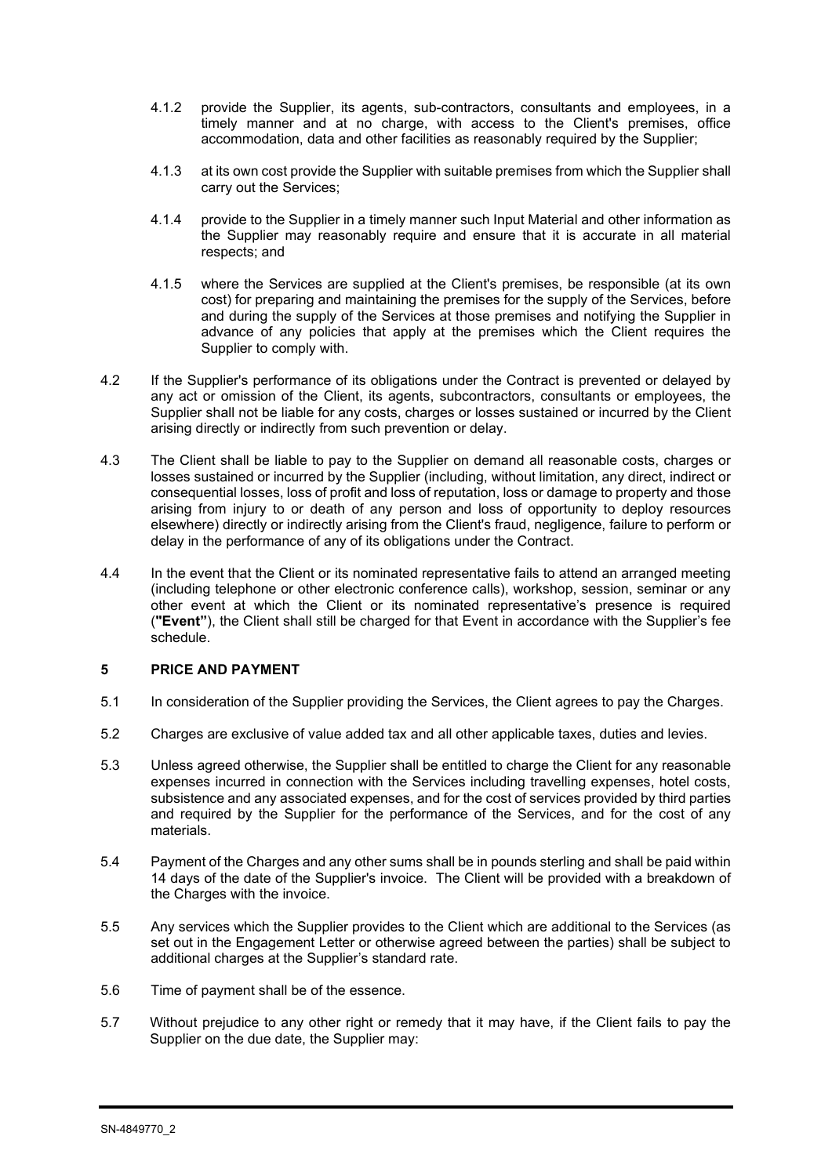- 4.1.2 provide the Supplier, its agents, sub-contractors, consultants and employees, in a timely manner and at no charge, with access to the Client's premises, office accommodation, data and other facilities as reasonably required by the Supplier;
- 4.1.3 at its own cost provide the Supplier with suitable premises from which the Supplier shall carry out the Services;
- 4.1.4 provide to the Supplier in a timely manner such Input Material and other information as the Supplier may reasonably require and ensure that it is accurate in all material respects; and
- 4.1.5 where the Services are supplied at the Client's premises, be responsible (at its own cost) for preparing and maintaining the premises for the supply of the Services, before and during the supply of the Services at those premises and notifying the Supplier in advance of any policies that apply at the premises which the Client requires the Supplier to comply with.
- 4.2 If the Supplier's performance of its obligations under the Contract is prevented or delayed by any act or omission of the Client, its agents, subcontractors, consultants or employees, the Supplier shall not be liable for any costs, charges or losses sustained or incurred by the Client arising directly or indirectly from such prevention or delay.
- 4.3 The Client shall be liable to pay to the Supplier on demand all reasonable costs, charges or losses sustained or incurred by the Supplier (including, without limitation, any direct, indirect or consequential losses, loss of profit and loss of reputation, loss or damage to property and those arising from injury to or death of any person and loss of opportunity to deploy resources elsewhere) directly or indirectly arising from the Client's fraud, negligence, failure to perform or delay in the performance of any of its obligations under the Contract.
- 4.4 In the event that the Client or its nominated representative fails to attend an arranged meeting (including telephone or other electronic conference calls), workshop, session, seminar or any other event at which the Client or its nominated representative's presence is required (**"Event"**), the Client shall still be charged for that Event in accordance with the Supplier's fee schedule.

### **5 PRICE AND PAYMENT**

- 5.1 In consideration of the Supplier providing the Services, the Client agrees to pay the Charges.
- 5.2 Charges are exclusive of value added tax and all other applicable taxes, duties and levies.
- 5.3 Unless agreed otherwise, the Supplier shall be entitled to charge the Client for any reasonable expenses incurred in connection with the Services including travelling expenses, hotel costs, subsistence and any associated expenses, and for the cost of services provided by third parties and required by the Supplier for the performance of the Services, and for the cost of any materials.
- 5.4 Payment of the Charges and any other sums shall be in pounds sterling and shall be paid within 14 days of the date of the Supplier's invoice. The Client will be provided with a breakdown of the Charges with the invoice.
- 5.5 Any services which the Supplier provides to the Client which are additional to the Services (as set out in the Engagement Letter or otherwise agreed between the parties) shall be subject to additional charges at the Supplier's standard rate.
- 5.6 Time of payment shall be of the essence.
- 5.7 Without prejudice to any other right or remedy that it may have, if the Client fails to pay the Supplier on the due date, the Supplier may: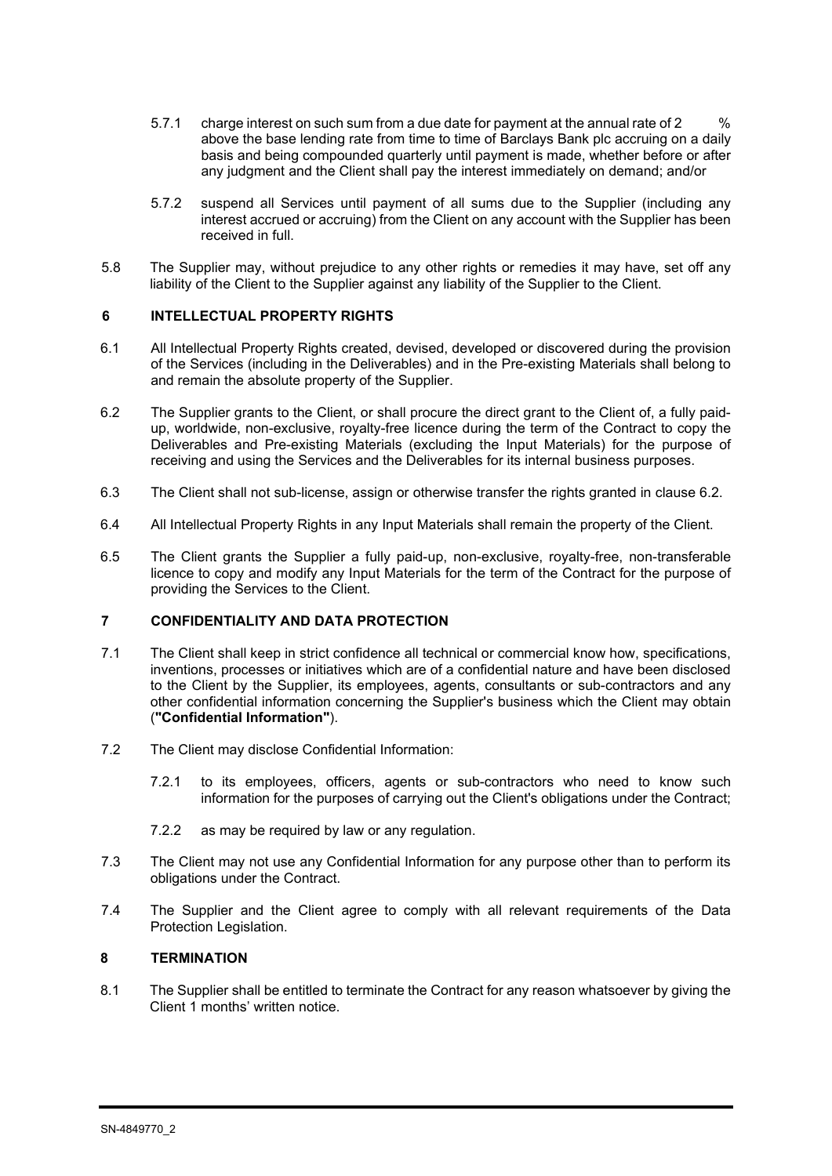- 5.7.1 charge interest on such sum from a due date for payment at the annual rate of 2 above the base lending rate from time to time of Barclays Bank plc accruing on a daily basis and being compounded quarterly until payment is made, whether before or after any judgment and the Client shall pay the interest immediately on demand; and/or
- 5.7.2 suspend all Services until payment of all sums due to the Supplier (including any interest accrued or accruing) from the Client on any account with the Supplier has been received in full.
- 5.8 The Supplier may, without prejudice to any other rights or remedies it may have, set off any liability of the Client to the Supplier against any liability of the Supplier to the Client.

### **6 INTELLECTUAL PROPERTY RIGHTS**

- 6.1 All Intellectual Property Rights created, devised, developed or discovered during the provision of the Services (including in the Deliverables) and in the Pre-existing Materials shall belong to and remain the absolute property of the Supplier.
- 6.2 The Supplier grants to the Client, or shall procure the direct grant to the Client of, a fully paidup, worldwide, non-exclusive, royalty-free licence during the term of the Contract to copy the Deliverables and Pre-existing Materials (excluding the Input Materials) for the purpose of receiving and using the Services and the Deliverables for its internal business purposes.
- 6.3 The Client shall not sub-license, assign or otherwise transfer the rights granted in clause 6.2.
- 6.4 All Intellectual Property Rights in any Input Materials shall remain the property of the Client.
- 6.5 The Client grants the Supplier a fully paid-up, non-exclusive, royalty-free, non-transferable licence to copy and modify any Input Materials for the term of the Contract for the purpose of providing the Services to the Client.

### **7 CONFIDENTIALITY AND DATA PROTECTION**

- 7.1 The Client shall keep in strict confidence all technical or commercial know how, specifications, inventions, processes or initiatives which are of a confidential nature and have been disclosed to the Client by the Supplier, its employees, agents, consultants or sub-contractors and any other confidential information concerning the Supplier's business which the Client may obtain (**"Confidential Information"**).
- 7.2 The Client may disclose Confidential Information:
	- 7.2.1 to its employees, officers, agents or sub-contractors who need to know such information for the purposes of carrying out the Client's obligations under the Contract;
	- 7.2.2 as may be required by law or any regulation.
- 7.3 The Client may not use any Confidential Information for any purpose other than to perform its obligations under the Contract.
- 7.4 The Supplier and the Client agree to comply with all relevant requirements of the Data Protection Legislation.

### **8 TERMINATION**

8.1 The Supplier shall be entitled to terminate the Contract for any reason whatsoever by giving the Client 1 months' written notice.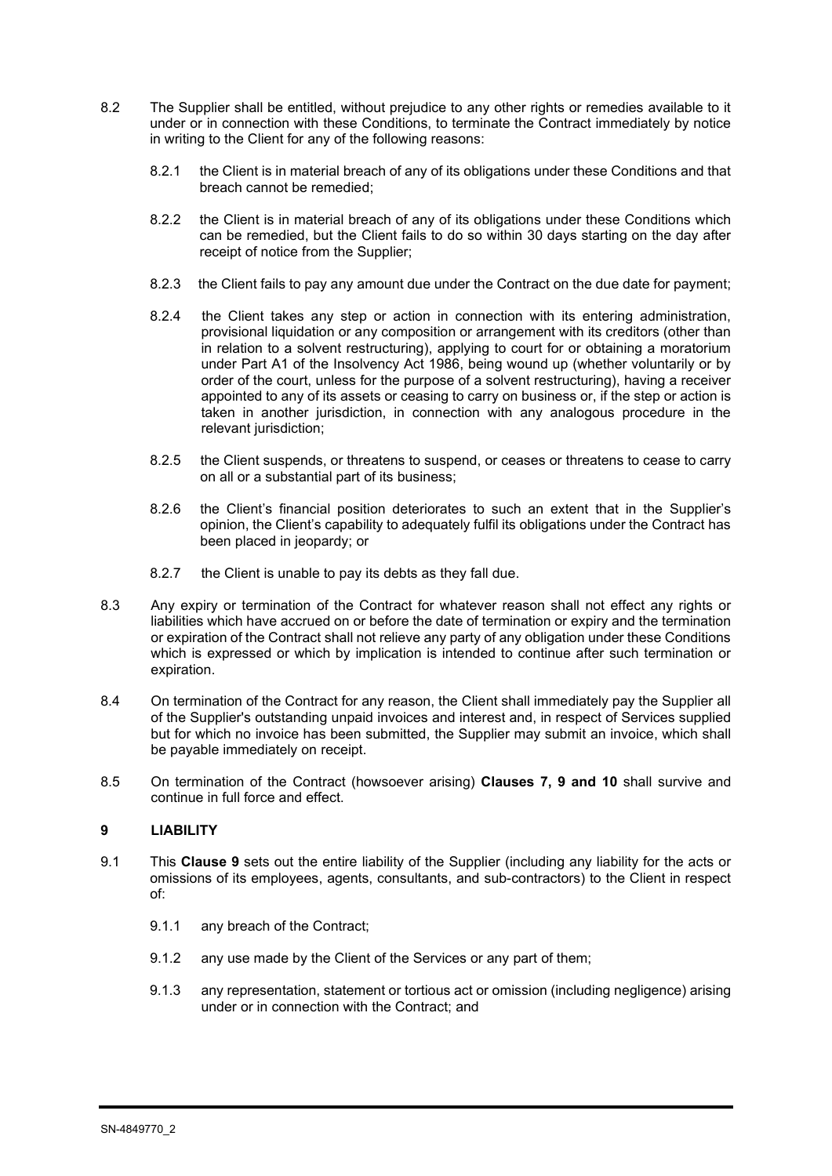- 8.2 The Supplier shall be entitled, without prejudice to any other rights or remedies available to it under or in connection with these Conditions, to terminate the Contract immediately by notice in writing to the Client for any of the following reasons:
	- 8.2.1 the Client is in material breach of any of its obligations under these Conditions and that breach cannot be remedied;
	- 8.2.2 the Client is in material breach of any of its obligations under these Conditions which can be remedied, but the Client fails to do so within 30 days starting on the day after receipt of notice from the Supplier;
	- 8.2.3 the Client fails to pay any amount due under the Contract on the due date for payment;
	- 8.2.4 the Client takes any step or action in connection with its entering administration, provisional liquidation or any composition or arrangement with its creditors (other than in relation to a solvent restructuring), applying to court for or obtaining a moratorium under Part A1 of the Insolvency Act 1986, being wound up (whether voluntarily or by order of the court, unless for the purpose of a solvent restructuring), having a receiver appointed to any of its assets or ceasing to carry on business or, if the step or action is taken in another jurisdiction, in connection with any analogous procedure in the relevant jurisdiction;
	- 8.2.5 the Client suspends, or threatens to suspend, or ceases or threatens to cease to carry on all or a substantial part of its business;
	- 8.2.6 the Client's financial position deteriorates to such an extent that in the Supplier's opinion, the Client's capability to adequately fulfil its obligations under the Contract has been placed in jeopardy; or
	- 8.2.7 the Client is unable to pay its debts as they fall due.
- 8.3 Any expiry or termination of the Contract for whatever reason shall not effect any rights or liabilities which have accrued on or before the date of termination or expiry and the termination or expiration of the Contract shall not relieve any party of any obligation under these Conditions which is expressed or which by implication is intended to continue after such termination or expiration.
- 8.4 On termination of the Contract for any reason, the Client shall immediately pay the Supplier all of the Supplier's outstanding unpaid invoices and interest and, in respect of Services supplied but for which no invoice has been submitted, the Supplier may submit an invoice, which shall be payable immediately on receipt.
- 8.5 On termination of the Contract (howsoever arising) **Clauses 7, 9 and 10** shall survive and continue in full force and effect.

### **9 LIABILITY**

- 9.1 This **Clause 9** sets out the entire liability of the Supplier (including any liability for the acts or omissions of its employees, agents, consultants, and sub-contractors) to the Client in respect of:
	- 9.1.1 any breach of the Contract;
	- 9.1.2 any use made by the Client of the Services or any part of them;
	- 9.1.3 any representation, statement or tortious act or omission (including negligence) arising under or in connection with the Contract; and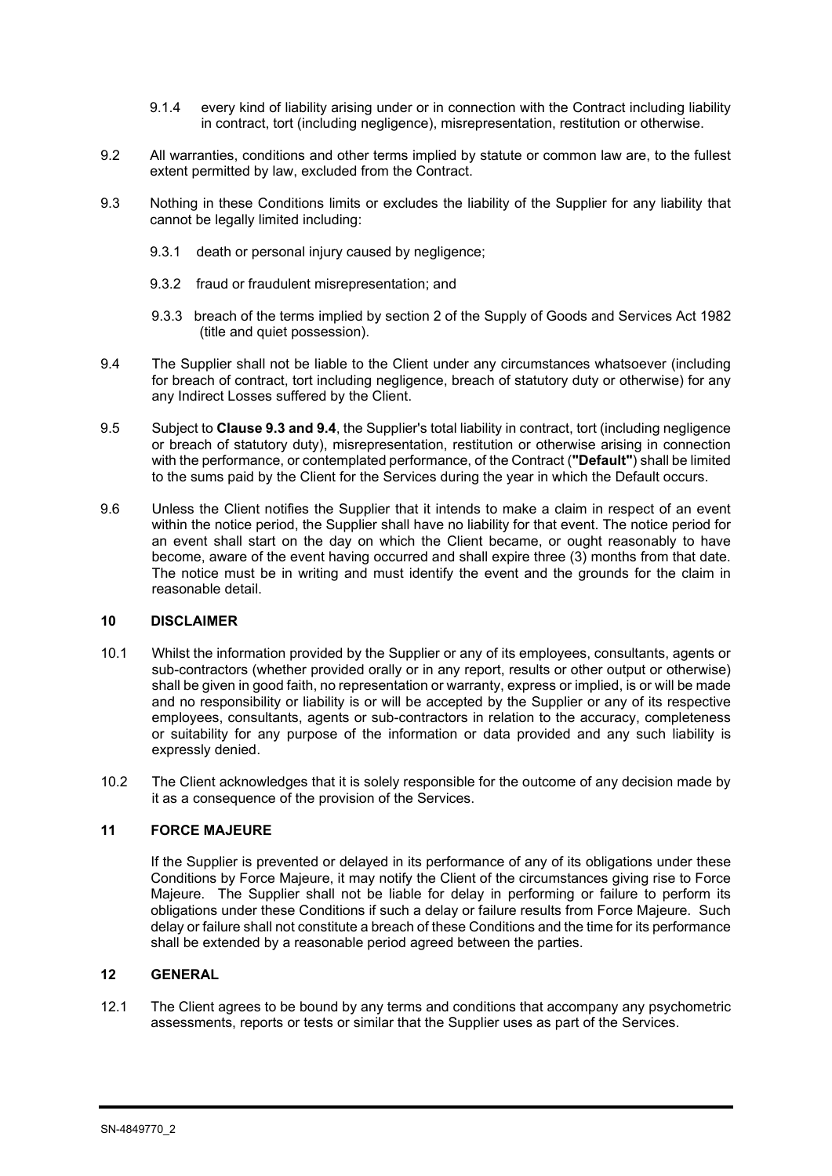- 9.1.4 every kind of liability arising under or in connection with the Contract including liability in contract, tort (including negligence), misrepresentation, restitution or otherwise.
- 9.2 All warranties, conditions and other terms implied by statute or common law are, to the fullest extent permitted by law, excluded from the Contract.
- 9.3 Nothing in these Conditions limits or excludes the liability of the Supplier for any liability that cannot be legally limited including:
	- 9.3.1 death or personal injury caused by negligence;
	- 9.3.2 fraud or fraudulent misrepresentation; and
	- 9.3.3 breach of the terms implied by section 2 of the Supply of Goods and Services Act 1982 (title and quiet possession).
- 9.4 The Supplier shall not be liable to the Client under any circumstances whatsoever (including for breach of contract, tort including negligence, breach of statutory duty or otherwise) for any any Indirect Losses suffered by the Client.
- 9.5 Subject to **Clause 9.3 and 9.4**, the Supplier's total liability in contract, tort (including negligence or breach of statutory duty), misrepresentation, restitution or otherwise arising in connection with the performance, or contemplated performance, of the Contract (**"Default"**) shall be limited to the sums paid by the Client for the Services during the year in which the Default occurs.
- 9.6 Unless the Client notifies the Supplier that it intends to make a claim in respect of an event within the notice period, the Supplier shall have no liability for that event. The notice period for an event shall start on the day on which the Client became, or ought reasonably to have become, aware of the event having occurred and shall expire three (3) months from that date. The notice must be in writing and must identify the event and the grounds for the claim in reasonable detail.

#### **10 DISCLAIMER**

- 10.1 Whilst the information provided by the Supplier or any of its employees, consultants, agents or sub-contractors (whether provided orally or in any report, results or other output or otherwise) shall be given in good faith, no representation or warranty, express or implied, is or will be made and no responsibility or liability is or will be accepted by the Supplier or any of its respective employees, consultants, agents or sub-contractors in relation to the accuracy, completeness or suitability for any purpose of the information or data provided and any such liability is expressly denied.
- 10.2 The Client acknowledges that it is solely responsible for the outcome of any decision made by it as a consequence of the provision of the Services.

#### **11 FORCE MAJEURE**

If the Supplier is prevented or delayed in its performance of any of its obligations under these Conditions by Force Majeure, it may notify the Client of the circumstances giving rise to Force Majeure. The Supplier shall not be liable for delay in performing or failure to perform its obligations under these Conditions if such a delay or failure results from Force Majeure. Such delay or failure shall not constitute a breach of these Conditions and the time for its performance shall be extended by a reasonable period agreed between the parties.

### **12 GENERAL**

12.1 The Client agrees to be bound by any terms and conditions that accompany any psychometric assessments, reports or tests or similar that the Supplier uses as part of the Services.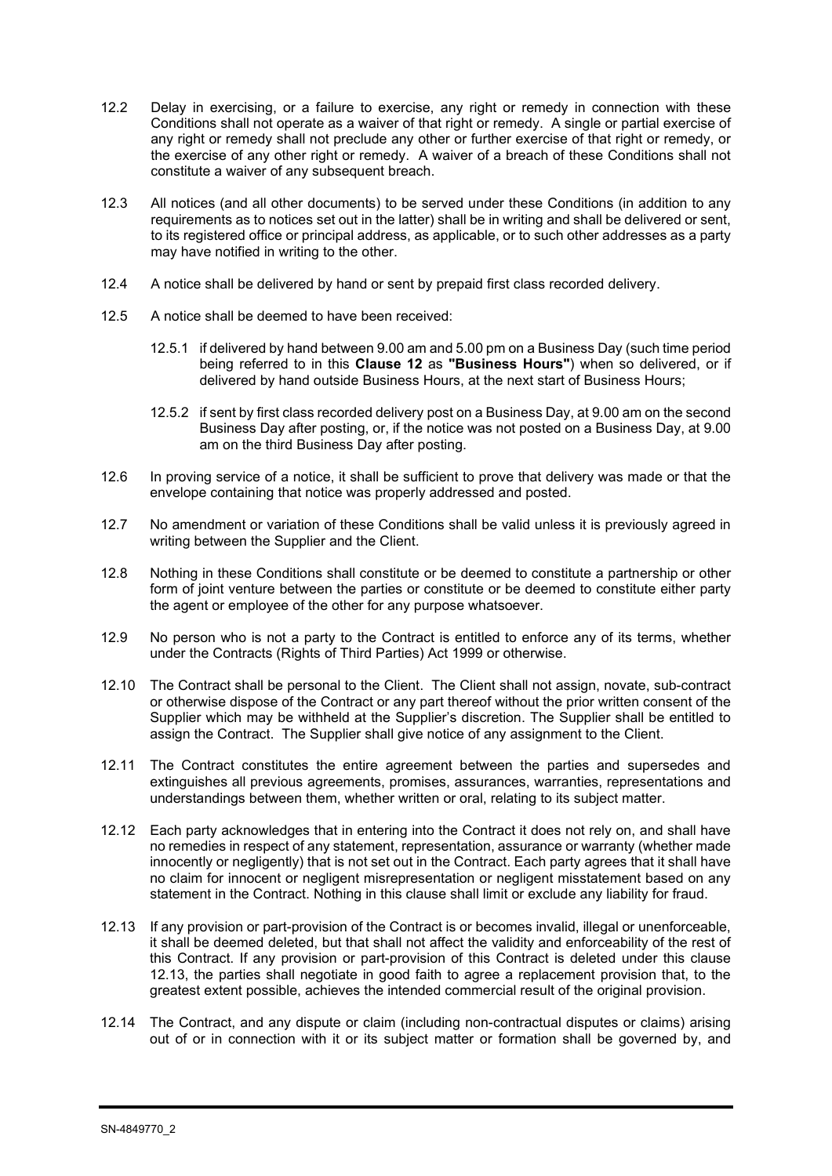- 12.2 Delay in exercising, or a failure to exercise, any right or remedy in connection with these Conditions shall not operate as a waiver of that right or remedy. A single or partial exercise of any right or remedy shall not preclude any other or further exercise of that right or remedy, or the exercise of any other right or remedy. A waiver of a breach of these Conditions shall not constitute a waiver of any subsequent breach.
- 12.3 All notices (and all other documents) to be served under these Conditions (in addition to any requirements as to notices set out in the latter) shall be in writing and shall be delivered or sent, to its registered office or principal address, as applicable, or to such other addresses as a party may have notified in writing to the other.
- 12.4 A notice shall be delivered by hand or sent by prepaid first class recorded delivery.
- 12.5 A notice shall be deemed to have been received:
	- 12.5.1 if delivered by hand between 9.00 am and 5.00 pm on a Business Day (such time period being referred to in this **Clause 12** as **"Business Hours"**) when so delivered, or if delivered by hand outside Business Hours, at the next start of Business Hours;
	- 12.5.2 if sent by first class recorded delivery post on a Business Day, at 9.00 am on the second Business Day after posting, or, if the notice was not posted on a Business Day, at 9.00 am on the third Business Day after posting.
- 12.6 In proving service of a notice, it shall be sufficient to prove that delivery was made or that the envelope containing that notice was properly addressed and posted.
- 12.7 No amendment or variation of these Conditions shall be valid unless it is previously agreed in writing between the Supplier and the Client.
- 12.8 Nothing in these Conditions shall constitute or be deemed to constitute a partnership or other form of joint venture between the parties or constitute or be deemed to constitute either party the agent or employee of the other for any purpose whatsoever.
- 12.9 No person who is not a party to the Contract is entitled to enforce any of its terms, whether under the Contracts (Rights of Third Parties) Act 1999 or otherwise.
- 12.10 The Contract shall be personal to the Client. The Client shall not assign, novate, sub-contract or otherwise dispose of the Contract or any part thereof without the prior written consent of the Supplier which may be withheld at the Supplier's discretion. The Supplier shall be entitled to assign the Contract. The Supplier shall give notice of any assignment to the Client.
- 12.11 The Contract constitutes the entire agreement between the parties and supersedes and extinguishes all previous agreements, promises, assurances, warranties, representations and understandings between them, whether written or oral, relating to its subject matter.
- 12.12 Each party acknowledges that in entering into the Contract it does not rely on, and shall have no remedies in respect of any statement, representation, assurance or warranty (whether made innocently or negligently) that is not set out in the Contract. Each party agrees that it shall have no claim for innocent or negligent misrepresentation or negligent misstatement based on any statement in the Contract. Nothing in this clause shall limit or exclude any liability for fraud.
- 12.13 If any provision or part-provision of the Contract is or becomes invalid, illegal or unenforceable, it shall be deemed deleted, but that shall not affect the validity and enforceability of the rest of this Contract. If any provision or part-provision of this Contract is deleted under this clause 12.13, the parties shall negotiate in good faith to agree a replacement provision that, to the greatest extent possible, achieves the intended commercial result of the original provision.
- 12.14 The Contract, and any dispute or claim (including non-contractual disputes or claims) arising out of or in connection with it or its subject matter or formation shall be governed by, and